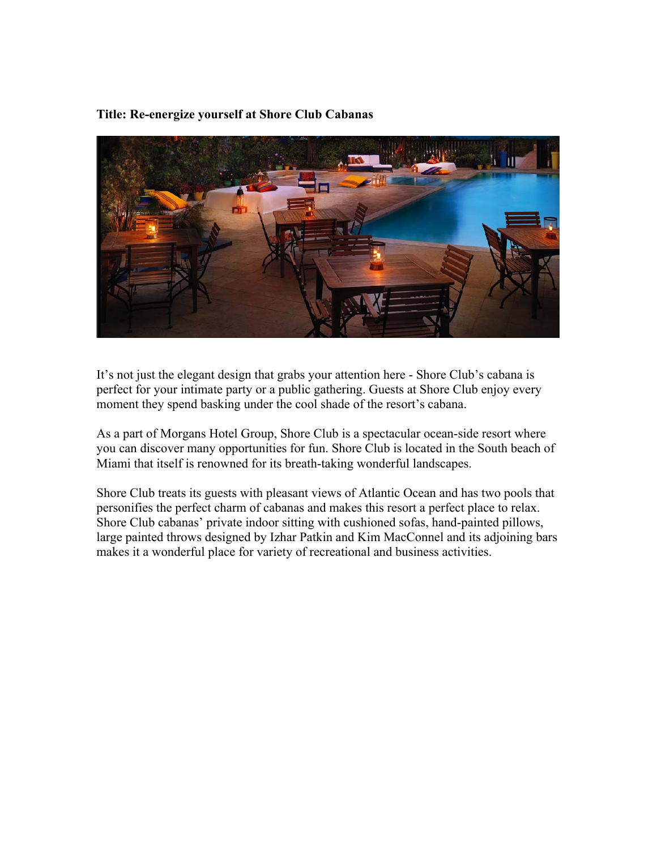# **Title: Re-energize yourself at Shore Club Cabanas**



It's not just the elegant design that grabs your attention here - Shore Club's cabana is perfect for your intimate party or a public gathering. Guests at Shore Club enjoy every moment they spend basking under the cool shade of the resort's cabana.

As a part of Morgans Hotel Group, Shore Club is a spectacular ocean-side resort where you can discover many opportunities for fun. Shore Club is located in the South beach of Miami that itself is renowned for its breath-taking wonderful landscapes.

Shore Club treats its guests with pleasant views of Atlantic Ocean and has two pools that personifies the perfect charm of cabanas and makes this resort a perfect place to relax. Shore Club cabanas' private indoor sitting with cushioned sofas, hand-painted pillows, large painted throws designed by Izhar Patkin and Kim MacConnel and its adjoining bars makes it a wonderful place for variety of recreational and business activities.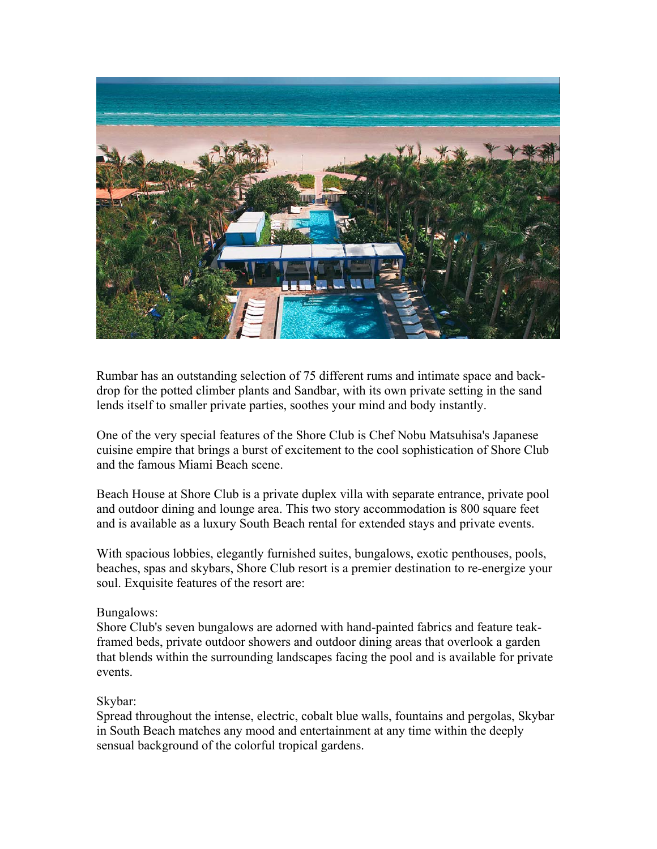

Rumbar has an outstanding selection of 75 different rums and intimate space and backdrop for the potted climber plants and Sandbar, with its own private setting in the sand lends itself to smaller private parties, soothes your mind and body instantly.

One of the very special features of the Shore Club is Chef Nobu Matsuhisa's Japanese cuisine empire that brings a burst of excitement to the cool sophistication of Shore Club and the famous Miami Beach scene.

Beach House at Shore Club is a private duplex villa with separate entrance, private pool and outdoor dining and lounge area. This two story accommodation is 800 square feet and is available as a luxury South Beach rental for extended stays and private events.

With spacious lobbies, elegantly furnished suites, bungalows, exotic penthouses, pools, beaches, spas and skybars, Shore Club resort is a premier destination to re-energize your soul. Exquisite features of the resort are:

#### Bungalows:

Shore Club's seven bungalows are adorned with hand-painted fabrics and feature teakframed beds, private outdoor showers and outdoor dining areas that overlook a garden that blends within the surrounding landscapes facing the pool and is available for private events.

## Skybar:

Spread throughout the intense, electric, cobalt blue walls, fountains and pergolas, Skybar in South Beach matches any mood and entertainment at any time within the deeply sensual background of the colorful tropical gardens.